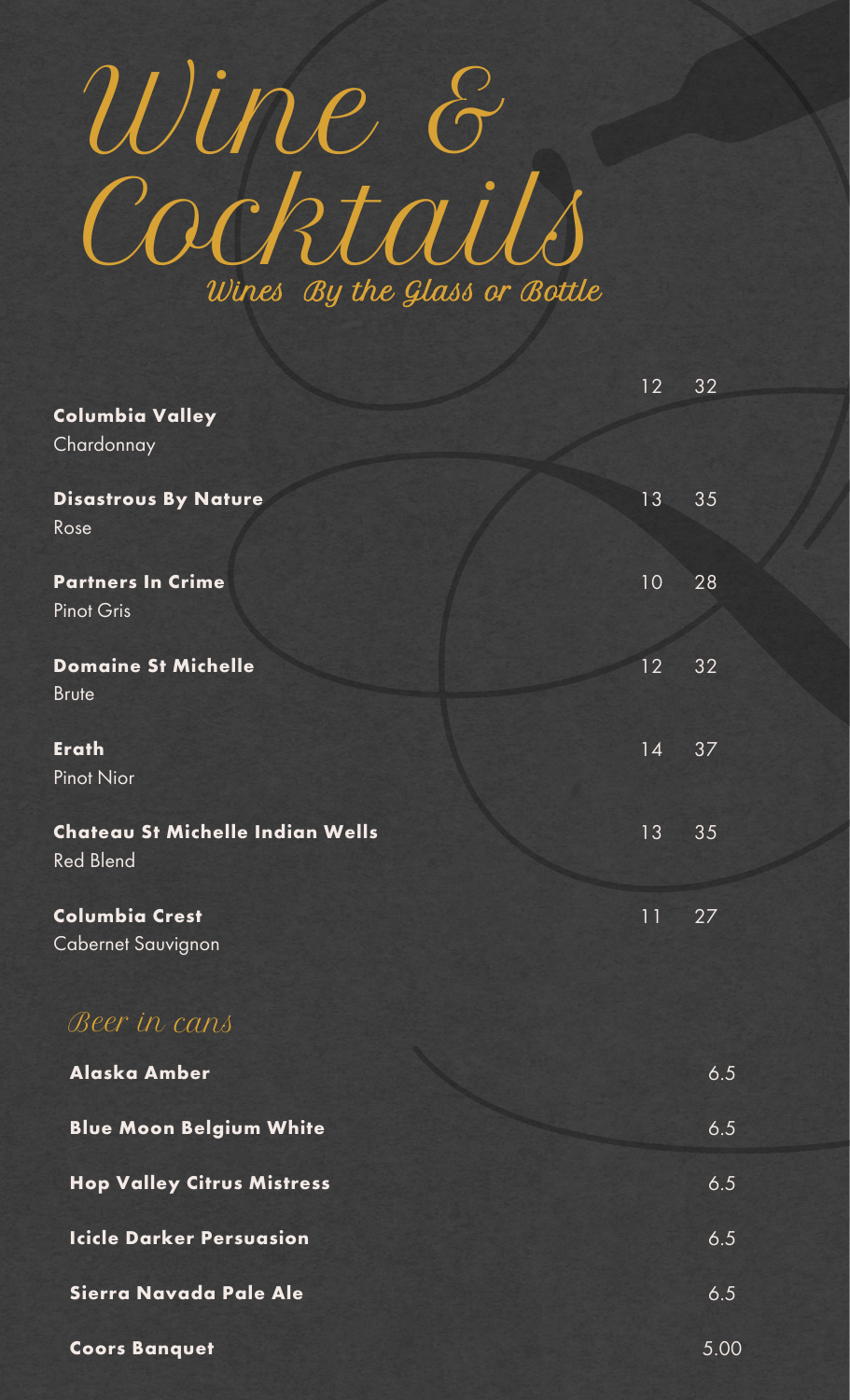## Wines By the Glass or Bottle Wine & Cocktails

|                                                      | 12 | 32   |
|------------------------------------------------------|----|------|
| <b>Columbia Valley</b><br>Chardonnay                 |    |      |
| <b>Disastrous By Nature</b><br>Rose                  | 13 | 35   |
| <b>Partners In Crime</b><br><b>Pinot Gris</b>        | 10 | 28   |
| <b>Domaine St Michelle</b><br><b>Brute</b>           | 12 | 32   |
| <b>Erath</b><br><b>Pinot Nior</b>                    | 14 | 37   |
| Chateau St Michelle Indian Wells<br><b>Red Blend</b> | 13 | 35   |
| <b>Columbia Crest</b><br><b>Cabernet Sauvignon</b>   | 11 | 27   |
| Beer in cans                                         |    |      |
| <b>Alaska Amber</b>                                  |    | 6.5  |
| <b>Blue Moon Belgium White</b>                       |    | 6.5  |
| <b>Hop Valley Citrus Mistress</b>                    |    | 6.5  |
| <b>Icicle Darker Persuasion</b>                      |    | 6.5  |
| Sierra Navada Pale Ale                               |    | 6.5  |
| <b>Coors Banquet</b>                                 |    | 5.00 |